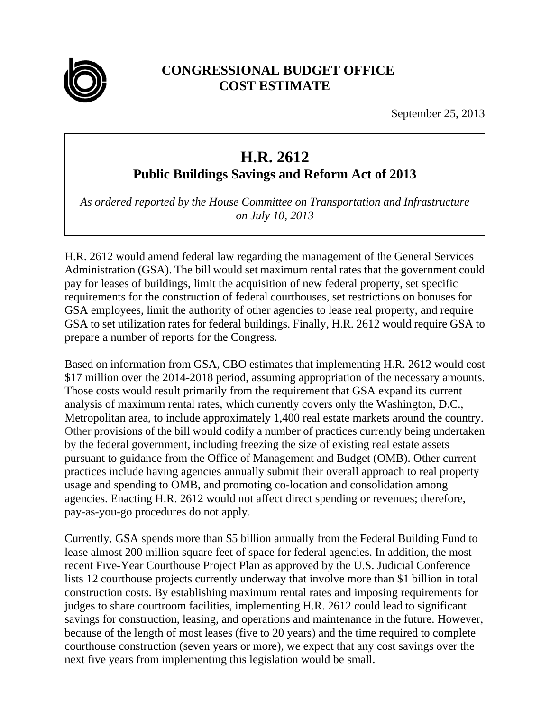

## **CONGRESSIONAL BUDGET OFFICE COST ESTIMATE**

September 25, 2013

## **H.R. 2612**

**Public Buildings Savings and Reform Act of 2013** 

*As ordered reported by the House Committee on Transportation and Infrastructure on July 10, 2013* 

H.R. 2612 would amend federal law regarding the management of the General Services Administration (GSA). The bill would set maximum rental rates that the government could pay for leases of buildings, limit the acquisition of new federal property, set specific requirements for the construction of federal courthouses, set restrictions on bonuses for GSA employees, limit the authority of other agencies to lease real property, and require GSA to set utilization rates for federal buildings. Finally, H.R. 2612 would require GSA to prepare a number of reports for the Congress.

Based on information from GSA, CBO estimates that implementing H.R. 2612 would cost \$17 million over the 2014-2018 period, assuming appropriation of the necessary amounts. Those costs would result primarily from the requirement that GSA expand its current analysis of maximum rental rates, which currently covers only the Washington, D.C., Metropolitan area, to include approximately 1,400 real estate markets around the country. Other provisions of the bill would codify a number of practices currently being undertaken by the federal government, including freezing the size of existing real estate assets pursuant to guidance from the Office of Management and Budget (OMB). Other current practices include having agencies annually submit their overall approach to real property usage and spending to OMB, and promoting co-location and consolidation among agencies. Enacting H.R. 2612 would not affect direct spending or revenues; therefore, pay-as-you-go procedures do not apply.

Currently, GSA spends more than \$5 billion annually from the Federal Building Fund to lease almost 200 million square feet of space for federal agencies. In addition, the most recent Five-Year Courthouse Project Plan as approved by the U.S. Judicial Conference lists 12 courthouse projects currently underway that involve more than \$1 billion in total construction costs. By establishing maximum rental rates and imposing requirements for judges to share courtroom facilities, implementing H.R. 2612 could lead to significant savings for construction, leasing, and operations and maintenance in the future. However, because of the length of most leases (five to 20 years) and the time required to complete courthouse construction (seven years or more), we expect that any cost savings over the next five years from implementing this legislation would be small.